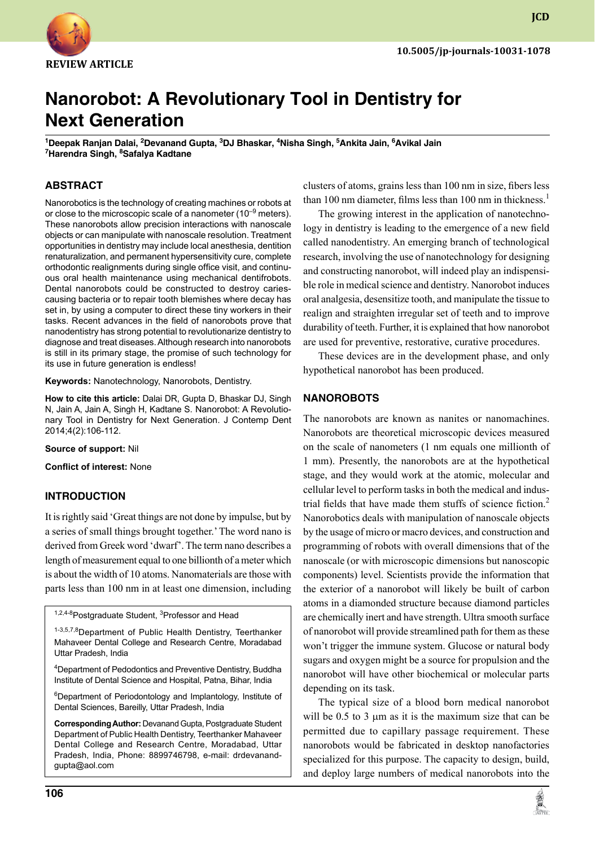

**JCD**

# **Nanorobot: A Revolutionary Tool in Dentistry for Next Generation**

<sup>1</sup>Deepak Ranjan Dalai, <sup>2</sup>Devanand Gupta, <sup>3</sup>DJ Bhaskar, <sup>4</sup>Nisha Singh, <sup>5</sup>Ankita Jain, <sup>6</sup>Avikal Jain **7 Harendra Singh, 8 Safalya Kadtane**

# **ABSTRACT**

Nanorobotics is the technology of creating machines or robots at or close to the microscopic scale of a nanometer  $(10^{-9}$  meters). These nanorobots allow precision interactions with nanoscale objects or can manipulate with nanoscale resolution. Treatment opportunities in dentistry may include local anesthesia, dentition renaturalization, and permanent hypersensitivity cure, complete orthodontic realignments during single office visit, and continuous oral health maintenance using mechanical dentifrobots. Dental nanorobots could be constructed to destroy cariescausing bacteria or to repair tooth blemishes where decay has set in, by using a computer to direct these tiny workers in their tasks. Recent advances in the field of nanorobots prove that nanodentistry has strong potential to revolutionarize dentistry to diagnose and treat diseases. Although research into nanorobots is still in its primary stage, the promise of such technology for its use in future generation is endless!

**Keywords:** Nanotechnology, Nanorobots, Dentistry.

**How to cite this article:** Dalai DR, Gupta D, Bhaskar DJ, Singh N, Jain A, Jain A, Singh H, Kadtane S. Nanorobot: A Revolutionary Tool in Dentistry for Next Generation. J Contemp Dent 2014;4(2):106-112.

**Source of support:** Nil

**Conflict of interest:** None

#### **Introduction**

It is rightly said 'Great things are not done by impulse, but by a series of small things brought together.' The word nano is derived from Greek word 'dwarf'. The term nano describes a length of measurement equal to one billionth of a meter which is about the width of 10 atoms. Nanomaterials are those with parts less than 100 nm in at least one dimension, including

<sup>1,2,4-8</sup>Postgraduate Student, <sup>3</sup>Professor and Head

1-3,5,7,8 Department of Public Health Dentistry, Teerthanker Mahaveer Dental College and Research Centre, Moradabad Uttar Pradesh, India

4 Department of Pedodontics and Preventive Dentistry, Buddha Institute of Dental Science and Hospital, Patna, Bihar, India

<sup>6</sup>Department of Periodontology and Implantology, Institute of Dental Sciences, Bareilly, Uttar Pradesh, India

**Corresponding Author: Devanand Gupta, Postgraduate Student** Department of Public Health Dentistry, Teerthanker Mahaveer Dental College and Research Centre, Moradabad, Uttar Pradesh, India, Phone: 8899746798, e-mail: drdevanandgupta@aol.com

clusters of atoms, grains less than 100 nm in size, fibers less than 100 nm diameter, films less than 100 nm in thickness.<sup>1</sup>

The growing interest in the application of nanotechnology in dentistry is leading to the emergence of a new field called nanodentistry. An emerging branch of technological research, involving the use of nanotechnology for designing and constructing nanorobot, will indeed play an indispensible role in medical science and dentistry. Nanorobot induces oral analgesia, desensitize tooth, and manipulate the tissue to realign and straighten irregular set of teeth and to improve durability of teeth. Further, it is explained that how nanorobot are used for preventive, restorative, curative procedures.

These devices are in the development phase, and only hypothetical nanorobot has been produced.

#### **NANOROBOTS**

The nanorobots are known as nanites or nanomachines. Nanorobots are theoretical microscopic devices measured on the scale of nanometers (1 nm equals one millionth of 1 mm). Presently, the nanorobots are at the hypothetical stage, and they would work at the atomic, molecular and cellular level to perform tasks in both the medical and industrial fields that have made them stuffs of science fiction.<sup>2</sup> Nanorobotics deals with manipulation of nanoscale objects by the usage of micro or macro devices, and construction and programming of robots with overall dimensions that of the nanoscale (or with microscopic dimensions but nanoscopic components) level. Scientists provide the information that the exterior of a nanorobot will likely be built of carbon atoms in a diamonded structure because diamond particles are chemically inert and have strength. Ultra smooth surface of nanorobot will provide streamlined path for them as these won't trigger the immune system. Glucose or natural body sugars and oxygen might be a source for propulsion and the nanorobot will have other biochemical or molecular parts depending on its task.

The typical size of a blood born medical nanorobot will be  $0.5$  to  $3 \mu m$  as it is the maximum size that can be permitted due to capillary passage requirement. These nanorobots would be fabricated in desktop nanofactories specialized for this purpose. The capacity to design, build, and deploy large numbers of medical nanorobots into the

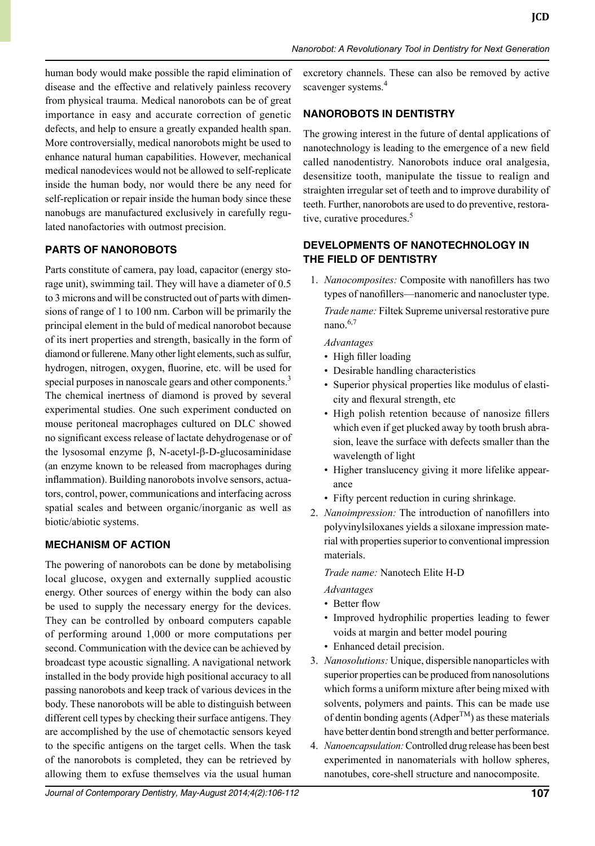human body would make possible the rapid elimination of disease and the effective and relatively painless recovery from physical trauma. Medical nanorobots can be of great importance in easy and accurate correction of genetic defects, and help to ensure a greatly expanded health span. More controversially, medical nanorobots might be used to enhance natural human capabilities. However, mechanical medical nanodevices would not be allowed to self-replicate inside the human body, nor would there be any need for self-replication or repair inside the human body since these nanobugs are manufactured exclusively in carefully regulated nanofactories with outmost precision.

# **PARTS OF NANOROBOTS**

Parts constitute of camera, pay load, capacitor (energy storage unit), swimming tail. They will have a diameter of 0.5 to 3 microns and will be constructed out of parts with dimensions of range of 1 to 100 nm. Carbon will be primarily the principal element in the buld of medical nanorobot because of its inert properties and strength, basically in the form of diamond or fullerene. many other light elements, such as sulfur, hydrogen, nitrogen, oxygen, fluorine, etc. will be used for special purposes in nanoscale gears and other components.<sup>3</sup> The chemical inertness of diamond is proved by several experimental studies. One such experiment conducted on mouse peritoneal macrophages cultured on DLC showed no significant excess release of lactate dehydrogenase or of the lysosomal enzyme  $\beta$ , N-acetyl- $\beta$ -D-glucosaminidase (an enzyme known to be released from macrophages during inflammation). Building nanorobots involve sensors, actuators, control, power, communications and interfacing across spatial scales and between organic/inorganic as well as biotic/abiotic systems.

# **MECHANISM OF ACTION**

The powering of nanorobots can be done by metabolising local glucose, oxygen and externally supplied acoustic energy. Other sources of energy within the body can also be used to supply the necessary energy for the devices. They can be controlled by onboard computers capable of performing around 1,000 or more computations per second. Communication with the device can be achieved by broadcast type acoustic signalling. A navigational network installed in the body provide high positional accuracy to all passing nanorobots and keep track of various devices in the body. These nanorobots will be able to distinguish between different cell types by checking their surface antigens. They are accomplished by the use of chemotactic sensors keyed to the specific antigens on the target cells. When the task of the nanorobots is completed, they can be retrieved by allowing them to exfuse themselves via the usual human

excretory channels. These can also be removed by active scavenger systems.<sup>4</sup>

# **NANOROBOTS IN DENTISTRY**

The growing interest in the future of dental applications of nanotechnology is leading to the emergence of a new field called nanodentistry. Nanorobots induce oral analgesia, desensitize tooth, manipulate the tissue to realign and straighten irregular set of teeth and to improve durability of teeth. Further, nanorobots are used to do preventive, restorative, curative procedures.<sup>5</sup>

# **Developments of Nanotechnology in the Field of Dentistry**

1. *Nanocomposites:* Composite with nanofillers has two types of nanofillers—nanomeric and nanocluster type.

 *Trade name:* Filtek Supreme universal restorative pure nano. $6,7$ 

#### *Advantages*

- High filler loading
- Desirable handling characteristics
- Superior physical properties like modulus of elasticity and flexural strength, etc
- High polish retention because of nanosize fillers which even if get plucked away by tooth brush abrasion, leave the surface with defects smaller than the wavelength of light
- Higher translucency giving it more lifelike appearance
- Fifty percent reduction in curing shrinkage.
- 2. *Nanoimpression:* The introduction of nanofillers into polyvinylsiloxanes yields a siloxane impression material with properties superior to conventional impression materials.

#### *Trade name:* Nanotech Elite H-D

#### *Advantages*

- Better flow
- Improved hydrophilic properties leading to fewer voids at margin and better model pouring
- Enhanced detail precision.
- 3. *Nanosolutions:* Unique, dispersible nanoparticles with superior properties can be produced from nanosolutions which forms a uniform mixture after being mixed with solvents, polymers and paints. This can be made use of dentin bonding agents ( $Adper^{TM}$ ) as these materials have better dentin bond strength and better performance.
- 4. *Nanoencapsulation:*controlled drug release has been best experimented in nanomaterials with hollow spheres, nanotubes, core-shell structure and nanocomposite.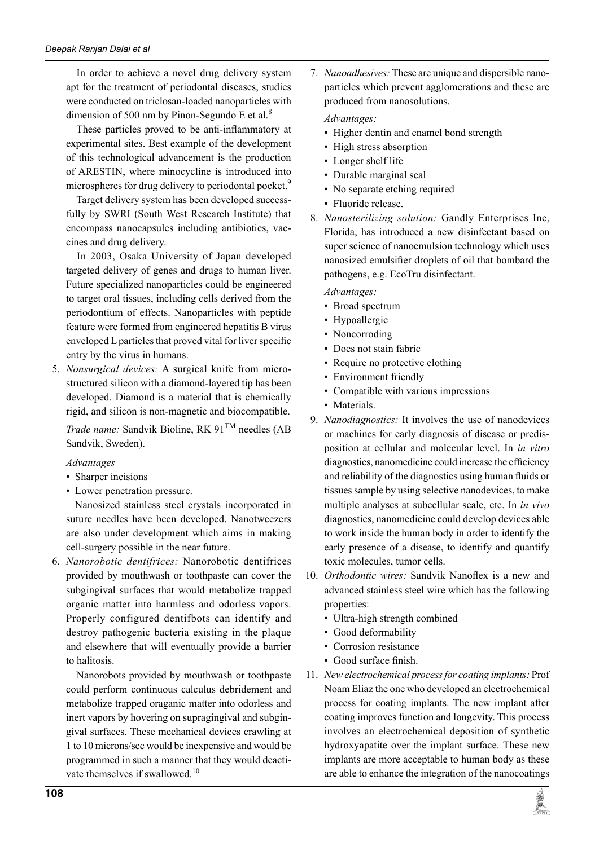In order to achieve a novel drug delivery system apt for the treatment of periodontal diseases, studies were conducted on triclosan-loaded nanoparticles with dimension of 500 nm by Pinon-Segundo E et al. $8$ 

 These particles proved to be anti-inflammatory at experimental sites. Best example of the development of this technological advancement is the production of ARESTIN, where minocycline is introduced into microspheres for drug delivery to periodontal pocket.<sup>9</sup>

 Target delivery system has been developed successfully by SWRI (South West Research Institute) that encompass nanocapsules including antibiotics, vaccines and drug delivery.

In 2003, Osaka University of Japan developed targeted delivery of genes and drugs to human liver. Future specialized nanoparticles could be engineered to target oral tissues, including cells derived from the periodontium of effects. Nanoparticles with peptide feature were formed from engineered hepatitis B virus enveloped L particles that proved vital for liver specific entry by the virus in humans.

5. *Nonsurgical devices:* A surgical knife from microstructured silicon with a diamond-layered tip has been developed. Diamond is a material that is chemically rigid, and silicon is non-magnetic and biocompatible.

 *Trade name:* Sandvik Bioline, RK 91TM needles (AB Sandvik, Sweden).

#### *Advantages*

- Sharper incisions
- Lower penetration pressure.

 Nanosized stainless steel crystals incorporated in suture needles have been developed. Nanotweezers are also under development which aims in making cell-surgery possible in the near future.

6. *Nanorobotic dentifrices:* Nanorobotic dentifrices provided by mouthwash or toothpaste can cover the subgingival surfaces that would metabolize trapped organic matter into harmless and odorless vapors. Properly configured dentifbots can identify and destroy pathogenic bacteria existing in the plaque and elsewhere that will eventually provide a barrier to halitosis.

 Nanorobots provided by mouthwash or toothpaste could perform continuous calculus debridement and metabolize trapped oraganic matter into odorless and inert vapors by hovering on supragingival and subgingival surfaces. These mechanical devices crawling at 1 to 10 microns/sec would be inexpensive and would be programmed in such a manner that they would deactivate themselves if swallowed.<sup>10</sup>

7. *Nanoadhesives:* These are unique and dispersible nanoparticles which prevent agglomerations and these are produced from nanosolutions.

#### *Advantages:*

- Higher dentin and enamel bond strength
- High stress absorption
- Longer shelf life
- Durable marginal seal
- No separate etching required
- Fluoride release.
- 8. *Nanosterilizing solution:* Gandly Enterprises Inc, Florida, has introduced a new disinfectant based on super science of nanoemulsion technology which uses nanosized emulsifier droplets of oil that bombard the pathogens, e.g. EcoTru disinfectant.

*Advantages:*

- Broad spectrum
- Hypoallergic
- Noncorroding
- Does not stain fabric
- Require no protective clothing
- Environment friendly
- Compatible with various impressions
- Materials.
- 9. *Nanodiagnostics:* It involves the use of nanodevices or machines for early diagnosis of disease or predisposition at cellular and molecular level. In *in vitro* diagnostics, nanomedicine could increase the efficiency and reliability of the diagnostics using human fluids or tissues sample by using selective nanodevices, to make multiple analyses at subcellular scale, etc. In *in vivo* diagnostics, nanomedicine could develop devices able to work inside the human body in order to identify the early presence of a disease, to identify and quantify toxic molecules, tumor cells.
- 10. *Orthodontic wires:* Sandvik Nanoflex is a new and advanced stainless steel wire which has the following properties:
	- Ultra-high strength combined
	- Good deformability
	- corrosion resistance
	- Good surface finish.
- 11. *New electrochemical process for coating implants:* Prof Noam Eliaz the one who developed an electrochemical process for coating implants. The new implant after coating improves function and longevity. This process involves an electrochemical deposition of synthetic hydroxyapatite over the implant surface. These new implants are more acceptable to human body as these are able to enhance the integration of the nanocoatings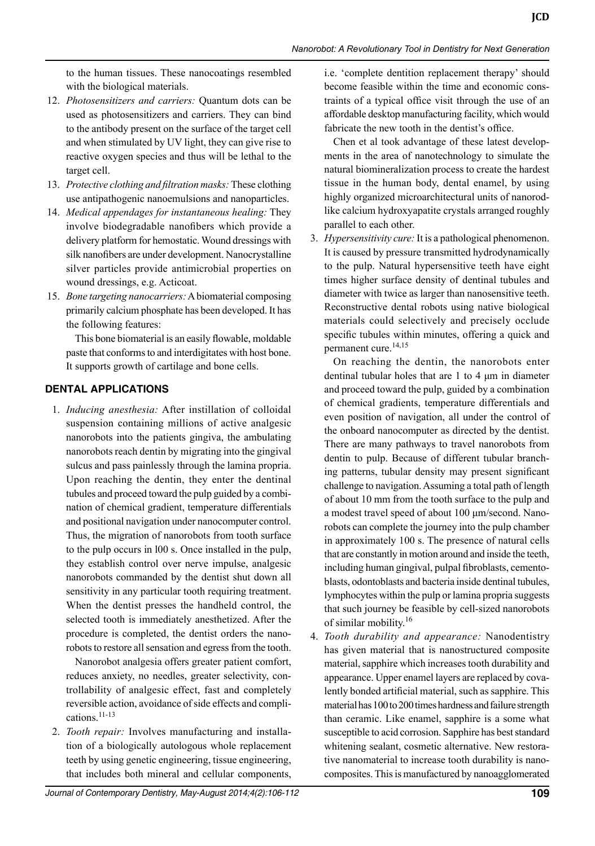to the human tissues. These nanocoatings resembled with the biological materials.

- 12. *Photosensitizers and carriers:* Quantum dots can be used as photosensitizers and carriers. They can bind to the antibody present on the surface of the target cell and when stimulated by UV light, they can give rise to reactive oxygen species and thus will be lethal to the target cell.
- 13. *Protective clothing and filtration masks:* These clothing use antipathogenic nanoemulsions and nanoparticles.
- 14. *Medical appendages for instantaneous healing:* They involve biodegradable nanofibers which provide a delivery platform for hemostatic. Wound dressings with silk nanofibers are under development. Nanocrystalline silver particles provide antimicrobial properties on wound dressings, e.g. Acticoat.
- 15. *Bone targeting nanocarriers:* A biomaterial composing primarily calcium phosphate has been developed. It has the following features:

This bone biomaterial is an easily flowable, moldable paste that conforms to and interdigitates with host bone. It supports growth of cartilage and bone cells.

#### **Dental applications**

1. *Inducing anesthesia:* After instillation of colloidal suspension containing millions of active analgesic nanorobots into the patients gingiva, the ambulating nanorobots reach dentin by migrating into the gingival sulcus and pass painlessly through the lamina propria. Upon reaching the dentin, they enter the dentinal tubules and proceed toward the pulp guided by a combination of chemical gradient, temperature differentials and positional navigation under nanocomputer control. Thus, the migration of nanorobots from tooth surface to the pulp occurs in l00 s. Once installed in the pulp, they establish control over nerve impulse, analgesic nanorobots commanded by the dentist shut down all sensitivity in any particular tooth requiring treatment. When the dentist presses the handheld control, the selected tooth is immediately anesthetized. After the procedure is completed, the dentist orders the nanorobots to restore all sensation and egress from the tooth.

 Nanorobot analgesia offers greater patient comfort, reduces anxiety, no needles, greater selectivity, controllability of analgesic effect, fast and completely reversible action, avoidance of side effects and complications.11-13

2. *Tooth repair:* involves manufacturing and installation of a biologically autologous whole replacement teeth by using genetic engineering, tissue engineering, that includes both mineral and cellular components,

i.e. 'complete dentition replacement therapy' should become feasible within the time and economic constraints of a typical office visit through the use of an affordable desktop manufacturing facility, which would fabricate the new tooth in the dentist's office.

 Chen et al took advantage of these latest developments in the area of nanotechnology to simulate the natural biomineralization process to create the hardest tissue in the human body, dental enamel, by using highly organized microarchitectural units of nanorodlike calcium hydroxyapatite crystals arranged roughly parallel to each other.

3. *Hypersensitivity cure:* It is a pathological phenomenon. It is caused by pressure transmitted hydrodynamically to the pulp. Natural hypersensitive teeth have eight times higher surface density of dentinal tubules and diameter with twice as larger than nanosensitive teeth. Reconstructive dental robots using native biological materials could selectively and precisely occlude specific tubules within minutes, offering a quick and permanent cure.14,15

 On reaching the dentin, the nanorobots enter dentinal tubular holes that are 1 to 4 μm in diameter and proceed toward the pulp, guided by a combination of chemical gradients, temperature differentials and even position of navigation, all under the control of the onboard nanocomputer as directed by the dentist. There are many pathways to travel nanorobots from dentin to pulp. Because of different tubular branching patterns, tubular density may present significant challenge to navigation. Assuming a total path of length of about 10 mm from the tooth surface to the pulp and a modest travel speed of about 100 μm/second. Nanorobots can complete the journey into the pulp chamber in approximately 100 s. The presence of natural cells that are constantly in motion around and inside the teeth, including human gingival, pulpal fibroblasts, cementoblasts, odontoblasts and bacteria inside dentinal tubules, lymphocytes within the pulp or lamina propria suggests that such journey be feasible by cell-sized nanorobots of similar mobility.16

4. *Tooth durability and appearance:* Nanodentistry has given material that is nanostructured composite material, sapphire which increases tooth durability and appearance. Upper enamel layers are replaced by covalently bonded artificial material, such as sapphire. This material has 100 to 200 times hardness and failure strength than ceramic. Like enamel, sapphire is a some what susceptible to acid corrosion. Sapphire has best standard whitening sealant, cosmetic alternative. New restorative nanomaterial to increase tooth durability is nanocomposites. This is manufactured by nanoagglomerated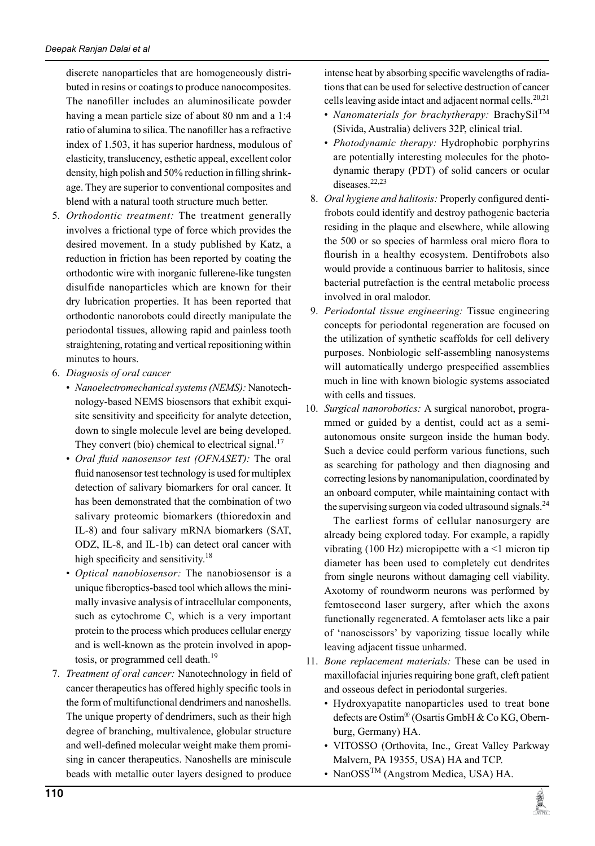discrete nanoparticles that are homogeneously distributed in resins or coatings to produce nanocomposites. The nanofiller includes an aluminosilicate powder having a mean particle size of about 80 nm and a 1:4 ratio of alumina to silica. The nanofiller has a refractive index of 1.503, it has superior hardness, modulous of elasticity, translucency, esthetic appeal, excellent color density, high polish and 50% reduction in filling shrinkage. They are superior to conventional composites and blend with a natural tooth structure much better.

- 5. *Orthodontic treatment:* The treatment generally involves a frictional type of force which provides the desired movement. in a study published by Katz, a reduction in friction has been reported by coating the orthodontic wire with inorganic fullerene-like tungsten disulfide nanoparticles which are known for their dry lubrication properties. it has been reported that orthodontic nanorobots could directly manipulate the periodontal tissues, allowing rapid and painless tooth straightening, rotating and vertical repositioning within minutes to hours.
- 6. *Diagnosis of oral cancer*
	- *Nanoelectromechanical systems (NEMS):* Nanotechnology-based NEMS biosensors that exhibit exquisite sensitivity and specificity for analyte detection, down to single molecule level are being developed. They convert (bio) chemical to electrical signal.<sup>17</sup>
	- *Oral fluid nanosensor test (OFNASET):* The oral fluid nanosensor test technology is used for multiplex detection of salivary biomarkers for oral cancer. It has been demonstrated that the combination of two salivary proteomic biomarkers (thioredoxin and IL-8) and four salivary mRNA biomarkers (SAT, ODZ, IL-8, and IL-1b) can detect oral cancer with high specificity and sensitivity.<sup>18</sup>
	- *Optical nanobiosensor:* The nanobiosensor is a unique fiberoptics-based tool which allows the minimally invasive analysis of intracellular components, such as cytochrome C, which is a very important protein to the process which produces cellular energy and is well-known as the protein involved in apoptosis, or programmed cell death.<sup>19</sup>
- 7. *Treatment of oral cancer:* Nanotechnology in field of cancer therapeutics has offered highly specific tools in the form of multifunctional dendrimers and nanoshells. The unique property of dendrimers, such as their high degree of branching, multivalence, globular structure and well-defined molecular weight make them promising in cancer therapeutics. Nanoshells are miniscule beads with metallic outer layers designed to produce

intense heat by absorbing specific wavelengths of radiations that can be used for selective destruction of cancer cells leaving aside intact and adjacent normal cells.<sup>20,21</sup>

- *Nanomaterials for brachytherapy:* BrachySil<sup>TM</sup> (Sivida, Australia) delivers 32P, clinical trial.
- *Photodynamic therapy:* Hydrophobic porphyrins are potentially interesting molecules for the photodynamic therapy (PDT) of solid cancers or ocular diseases<sup>22,23</sup>
- 8. *Oral hygiene and halitosis:* Properly configured dentifrobots could identify and destroy pathogenic bacteria residing in the plaque and elsewhere, while allowing the 500 or so species of harmless oral micro flora to flourish in a healthy ecosystem. Dentifrobots also would provide a continuous barrier to halitosis, since bacterial putrefaction is the central metabolic process involved in oral malodor.
- 9. *Periodontal tissue engineering:* Tissue engineering concepts for periodontal regeneration are focused on the utilization of synthetic scaffolds for cell delivery purposes. Nonbiologic self-assembling nanosystems will automatically undergo prespecified assemblies much in line with known biologic systems associated with cells and tissues.
- 10. *Surgical nanorobotics:* A surgical nanorobot, programmed or guided by a dentist, could act as a semiautonomous onsite surgeon inside the human body. Such a device could perform various functions, such as searching for pathology and then diagnosing and correcting lesions by nanomanipulation, coordinated by an onboard computer, while maintaining contact with the supervising surgeon via coded ultrasound signals. $^{24}$

 The earliest forms of cellular nanosurgery are already being explored today. For example, a rapidly vibrating (100 Hz) micropipette with a  $\leq$ 1 micron tip diameter has been used to completely cut dendrites from single neurons without damaging cell viability. Axotomy of roundworm neurons was performed by femtosecond laser surgery, after which the axons functionally regenerated. A femtolaser acts like a pair of 'nanoscissors' by vaporizing tissue locally while leaving adjacent tissue unharmed.

- 11. *Bone replacement materials:* These can be used in maxillofacial injuries requiring bone graft, cleft patient and osseous defect in periodontal surgeries.
	- Hydroxyapatite nanoparticles used to treat bone defects are Ostim® (Osartis GmbH & Co KG, Obernburg, Germany) HA.
	- VITOSSO (Orthovita, Inc., Great Valley Parkway Malvern, PA 19355, USA) HA and TCP.
	- NanOSS<sup>TM</sup> (Angstrom Medica, USA) HA.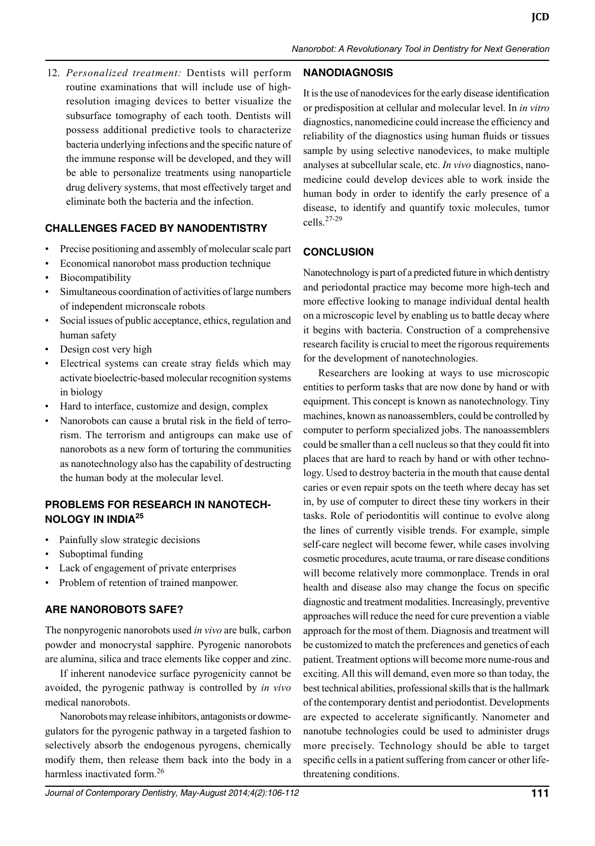12. *Personalized treatment:* Dentists will perform routine examinations that will include use of highresolution imaging devices to better visualize the subsurface tomography of each tooth. Dentists will possess additional predictive tools to characterize bacteria underlying infections and the specific nature of the immune response will be developed, and they will be able to personalize treatments using nanoparticle drug delivery systems, that most effectively target and eliminate both the bacteria and the infection.

# **Challenges faced by Nanodentistry**

- Precise positioning and assembly of molecular scale part
- Economical nanorobot mass production technique
- Biocompatibility
- Simultaneous coordination of activities of large numbers of independent micronscale robots
- Social issues of public acceptance, ethics, regulation and human safety
- Design cost very high
- Electrical systems can create stray fields which may activate bioelectric-based molecular recognition systems in biology
- Hard to interface, customize and design, complex
- Nanorobots can cause a brutal risk in the field of terrorism. The terrorism and antigroups can make use of nanorobots as a new form of torturing the communities as nanotechnology also has the capability of destructing the human body at the molecular level.

# **Problems for research in nanotechnology in India<sup>25</sup>**

- Painfully slow strategic decisions
- Suboptimal funding
- Lack of engagement of private enterprises
- Problem of retention of trained manpower.

#### **Are Nanorobots safe?**

The nonpyrogenic nanorobots used *in vivo* are bulk, carbon powder and monocrystal sapphire. Pyrogenic nanorobots are alumina, silica and trace elements like copper and zinc.

If inherent nanodevice surface pyrogenicity cannot be avoided, the pyrogenic pathway is controlled by *in vivo* medical nanorobots.

Nanorobots may release inhibitors, antagonists or dowmegulators for the pyrogenic pathway in a targeted fashion to selectively absorb the endogenous pyrogens, chemically modify them, then release them back into the body in a harmless inactivated form.<sup>26</sup>

# *Journal of Contemporary Dentistry, May-August 2014;4(2):106-112* **111**

#### **NanoDiagnosis**

It is the use of nanodevices for the early disease identification or predisposition at cellular and molecular level. In *in vitro*  diagnostics, nanomedicine could increase the efficiency and reliability of the diagnostics using human fluids or tissues sample by using selective nanodevices, to make multiple analyses at subcellular scale, etc. *In vivo* diagnostics, nanomedicine could develop devices able to work inside the human body in order to identify the early presence of a disease, to identify and quantify toxic molecules, tumor cells. $27-29$ 

#### **Conclusion**

Nanotechnology is part of a predicted future in which dentistry and periodontal practice may become more high-tech and more effective looking to manage individual dental health on a microscopic level by enabling us to battle decay where it begins with bacteria. Construction of a comprehensive research facility is crucial to meet the rigorous requirements for the development of nanotechnologies.

Researchers are looking at ways to use microscopic entities to perform tasks that are now done by hand or with equipment. This concept is known as nanotechnology. Tiny machines, known as nanoassemblers, could be controlled by computer to perform specialized jobs. The nanoassemblers could be smaller than a cell nucleus so that they could fit into places that are hard to reach by hand or with other technology. Used to destroy bacteria in the mouth that cause dental caries or even repair spots on the teeth where decay has set in, by use of computer to direct these tiny workers in their tasks. Role of periodontitis will continue to evolve along the lines of currently visible trends. For example, simple self-care neglect will become fewer, while cases involving cosmetic procedures, acute trauma, or rare disease conditions will become relatively more commonplace. Trends in oral health and disease also may change the focus on specific diagnostic and treatment modalities. Increasingly, preventive approaches will reduce the need for cure prevention a viable approach for the most of them. Diagnosis and treatment will be customized to match the preferences and genetics of each patient. Treatment options will become more nume-rous and exciting. All this will demand, even more so than today, the best technical abilities, professional skills that is the hallmark of the contemporary dentist and periodontist. Developments are expected to accelerate significantly. Nanometer and nanotube technologies could be used to administer drugs more precisely. Technology should be able to target specific cells in a patient suffering from cancer or other lifethreatening conditions.